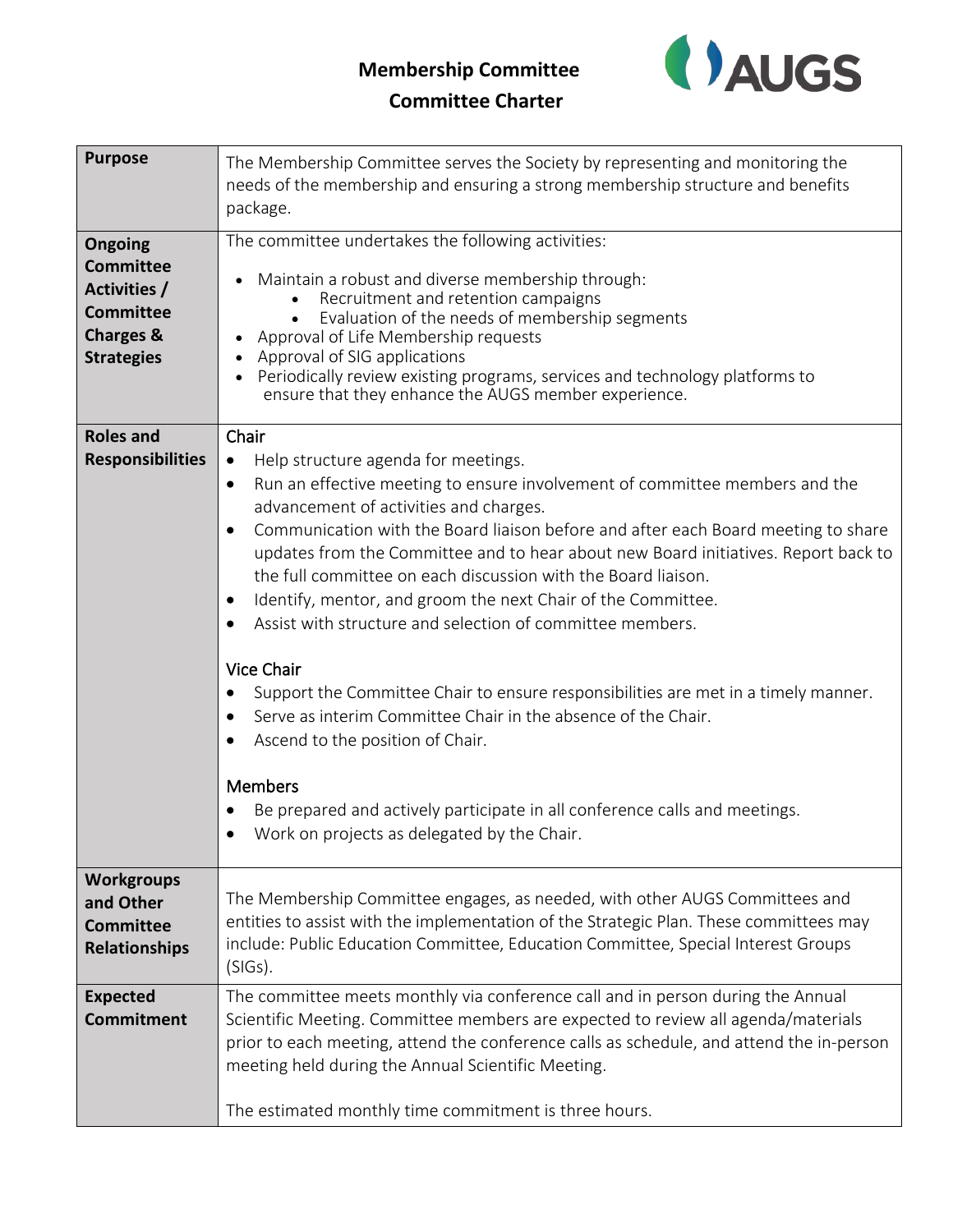## **Membership Committee**



## **Committee Charter**

| <b>Purpose</b>                                                                                                      | The Membership Committee serves the Society by representing and monitoring the<br>needs of the membership and ensuring a strong membership structure and benefits<br>package.                                                                                                                                                                                                                                                                                                                                                                                                                                                                                                                                                                                                                                                                                                                                                                                     |
|---------------------------------------------------------------------------------------------------------------------|-------------------------------------------------------------------------------------------------------------------------------------------------------------------------------------------------------------------------------------------------------------------------------------------------------------------------------------------------------------------------------------------------------------------------------------------------------------------------------------------------------------------------------------------------------------------------------------------------------------------------------------------------------------------------------------------------------------------------------------------------------------------------------------------------------------------------------------------------------------------------------------------------------------------------------------------------------------------|
| <b>Ongoing</b><br><b>Committee</b><br>Activities /<br><b>Committee</b><br><b>Charges &amp;</b><br><b>Strategies</b> | The committee undertakes the following activities:<br>Maintain a robust and diverse membership through:<br>Recruitment and retention campaigns<br>Evaluation of the needs of membership segments<br>Approval of Life Membership requests<br>Approval of SIG applications<br>Periodically review existing programs, services and technology platforms to<br>ensure that they enhance the AUGS member experience.                                                                                                                                                                                                                                                                                                                                                                                                                                                                                                                                                   |
| <b>Roles and</b><br><b>Responsibilities</b>                                                                         | Chair<br>Help structure agenda for meetings.<br>$\bullet$<br>Run an effective meeting to ensure involvement of committee members and the<br>$\bullet$<br>advancement of activities and charges.<br>Communication with the Board liaison before and after each Board meeting to share<br>updates from the Committee and to hear about new Board initiatives. Report back to<br>the full committee on each discussion with the Board liaison.<br>Identify, mentor, and groom the next Chair of the Committee.<br>$\bullet$<br>Assist with structure and selection of committee members.<br><b>Vice Chair</b><br>Support the Committee Chair to ensure responsibilities are met in a timely manner.<br>$\bullet$<br>Serve as interim Committee Chair in the absence of the Chair.<br>Ascend to the position of Chair.<br><b>Members</b><br>Be prepared and actively participate in all conference calls and meetings.<br>Work on projects as delegated by the Chair. |
| <b>Workgroups</b><br>and Other<br><b>Committee</b><br><b>Relationships</b>                                          | The Membership Committee engages, as needed, with other AUGS Committees and<br>entities to assist with the implementation of the Strategic Plan. These committees may<br>include: Public Education Committee, Education Committee, Special Interest Groups<br>$(SIGs)$ .                                                                                                                                                                                                                                                                                                                                                                                                                                                                                                                                                                                                                                                                                          |
| <b>Expected</b><br><b>Commitment</b>                                                                                | The committee meets monthly via conference call and in person during the Annual<br>Scientific Meeting. Committee members are expected to review all agenda/materials<br>prior to each meeting, attend the conference calls as schedule, and attend the in-person<br>meeting held during the Annual Scientific Meeting.<br>The estimated monthly time commitment is three hours.                                                                                                                                                                                                                                                                                                                                                                                                                                                                                                                                                                                   |